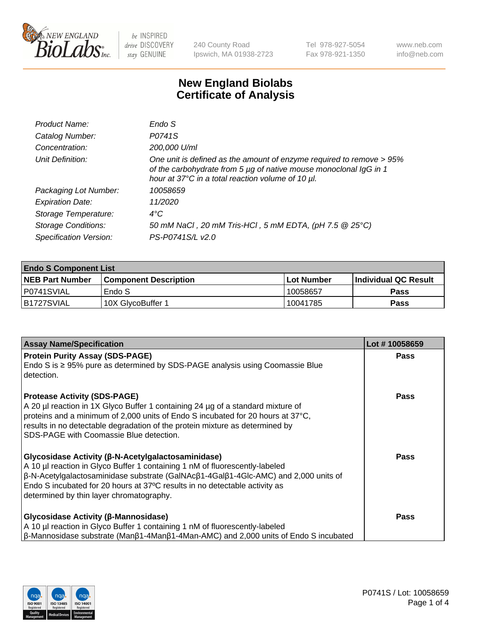

240 County Road Ipswich, MA 01938-2723 Tel 978-927-5054 Fax 978-921-1350 www.neb.com info@neb.com

## **New England Biolabs Certificate of Analysis**

| Product Name:              | Endo S                                                                                                                                                                                         |
|----------------------------|------------------------------------------------------------------------------------------------------------------------------------------------------------------------------------------------|
| Catalog Number:            | P0741S                                                                                                                                                                                         |
| Concentration:             | 200,000 U/ml                                                                                                                                                                                   |
| Unit Definition:           | One unit is defined as the amount of enzyme required to remove > 95%<br>of the carbohydrate from 5 µg of native mouse monoclonal IgG in 1<br>hour at 37°C in a total reaction volume of 10 µl. |
| Packaging Lot Number:      | 10058659                                                                                                                                                                                       |
| <b>Expiration Date:</b>    | 11/2020                                                                                                                                                                                        |
| Storage Temperature:       | $4^{\circ}$ C                                                                                                                                                                                  |
| <b>Storage Conditions:</b> | 50 mM NaCl, 20 mM Tris-HCl, 5 mM EDTA, (pH 7.5 @ 25°C)                                                                                                                                         |
| Specification Version:     | PS-P0741S/L v2.0                                                                                                                                                                               |

| <b>Endo S Component List</b> |                         |              |                             |  |  |
|------------------------------|-------------------------|--------------|-----------------------------|--|--|
| <b>NEB Part Number</b>       | l Component Description | l Lot Number | <b>Individual QC Result</b> |  |  |
| I P0741SVIAL                 | Endo S                  | 10058657     | Pass                        |  |  |
| B1727SVIAL                   | 10X GlvcoBuffer 1       | 10041785     | Pass                        |  |  |

| <b>Assay Name/Specification</b>                                                                                                                                                                                                                                                                                                                                           | Lot #10058659 |
|---------------------------------------------------------------------------------------------------------------------------------------------------------------------------------------------------------------------------------------------------------------------------------------------------------------------------------------------------------------------------|---------------|
| <b>Protein Purity Assay (SDS-PAGE)</b><br>Endo S is $\geq$ 95% pure as determined by SDS-PAGE analysis using Coomassie Blue<br>detection.                                                                                                                                                                                                                                 | <b>Pass</b>   |
| <b>Protease Activity (SDS-PAGE)</b><br>A 20 µl reaction in 1X Glyco Buffer 1 containing 24 µg of a standard mixture of<br>proteins and a minimum of 2,000 units of Endo S incubated for 20 hours at 37°C,<br>results in no detectable degradation of the protein mixture as determined by<br>SDS-PAGE with Coomassie Blue detection.                                      | <b>Pass</b>   |
| Glycosidase Activity (β-N-Acetylgalactosaminidase)<br>A 10 µl reaction in Glyco Buffer 1 containing 1 nM of fluorescently-labeled<br>$\beta$ -N-Acetylgalactosaminidase substrate (GalNAc $\beta$ 1-4Gal $\beta$ 1-4Glc-AMC) and 2,000 units of<br>Endo S incubated for 20 hours at 37°C results in no detectable activity as<br>determined by thin layer chromatography. | Pass          |
| Glycosidase Activity (β-Mannosidase)<br>A 10 µl reaction in Glyco Buffer 1 containing 1 nM of fluorescently-labeled<br>$\beta$ -Mannosidase substrate (Man $\beta$ 1-4Man $\beta$ 1-4Man-AMC) and 2,000 units of Endo S incubated                                                                                                                                         | Pass          |

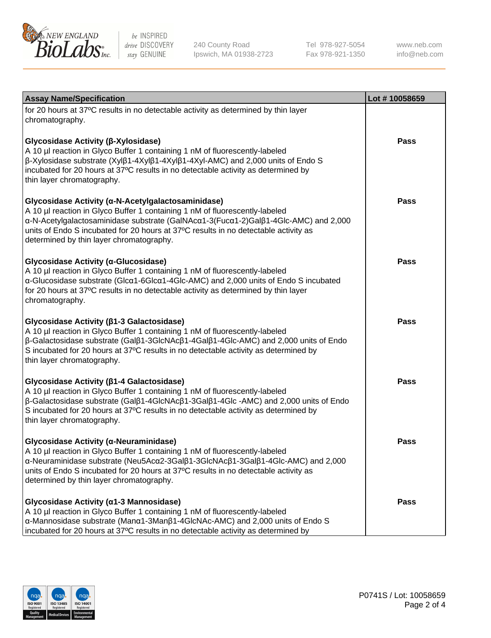

240 County Road Ipswich, MA 01938-2723 Tel 978-927-5054 Fax 978-921-1350

www.neb.com info@neb.com

| <b>Assay Name/Specification</b>                                                                                                                                                                                                                                                                                                                                      | Lot #10058659 |
|----------------------------------------------------------------------------------------------------------------------------------------------------------------------------------------------------------------------------------------------------------------------------------------------------------------------------------------------------------------------|---------------|
| for 20 hours at 37°C results in no detectable activity as determined by thin layer<br>chromatography.                                                                                                                                                                                                                                                                |               |
| Glycosidase Activity (β-Xylosidase)<br>A 10 µl reaction in Glyco Buffer 1 containing 1 nM of fluorescently-labeled<br>$\beta$ -Xylosidase substrate (Xyl $\beta$ 1-4Xyl $\beta$ 1-4Xyl $\beta$ 1-4Xyl-AMC) and 2,000 units of Endo S<br>incubated for 20 hours at 37°C results in no detectable activity as determined by<br>thin layer chromatography.              | <b>Pass</b>   |
| Glycosidase Activity (α-N-Acetylgalactosaminidase)<br>A 10 µl reaction in Glyco Buffer 1 containing 1 nM of fluorescently-labeled<br>α-N-Acetylgalactosaminidase substrate (GalNAcα1-3(Fucα1-2)Galβ1-4Glc-AMC) and 2,000<br>units of Endo S incubated for 20 hours at 37°C results in no detectable activity as<br>determined by thin layer chromatography.          | <b>Pass</b>   |
| Glycosidase Activity (α-Glucosidase)<br>A 10 µl reaction in Glyco Buffer 1 containing 1 nM of fluorescently-labeled<br>α-Glucosidase substrate (Glcα1-6Glcα1-4Glc-AMC) and 2,000 units of Endo S incubated<br>for 20 hours at 37°C results in no detectable activity as determined by thin layer<br>chromatography.                                                  | Pass          |
| Glycosidase Activity (β1-3 Galactosidase)<br>A 10 µl reaction in Glyco Buffer 1 containing 1 nM of fluorescently-labeled<br>$\beta$ -Galactosidase substrate (Gal $\beta$ 1-3GlcNAc $\beta$ 1-4Gal $\beta$ 1-4Glc-AMC) and 2,000 units of Endo<br>S incubated for 20 hours at 37°C results in no detectable activity as determined by<br>thin layer chromatography.  | Pass          |
| Glycosidase Activity (β1-4 Galactosidase)<br>A 10 µl reaction in Glyco Buffer 1 containing 1 nM of fluorescently-labeled<br>$\beta$ -Galactosidase substrate (Gal $\beta$ 1-4GlcNAc $\beta$ 1-3Gal $\beta$ 1-4Glc -AMC) and 2,000 units of Endo<br>S incubated for 20 hours at 37°C results in no detectable activity as determined by<br>thin layer chromatography. | <b>Pass</b>   |
| Glycosidase Activity (α-Neuraminidase)<br>A 10 µl reaction in Glyco Buffer 1 containing 1 nM of fluorescently-labeled<br>α-Neuraminidase substrate (Neu5Acα2-3Galβ1-3GlcNAcβ1-3Galβ1-4Glc-AMC) and 2,000<br>units of Endo S incubated for 20 hours at 37°C results in no detectable activity as<br>determined by thin layer chromatography.                          | Pass          |
| Glycosidase Activity (α1-3 Mannosidase)<br>A 10 µl reaction in Glyco Buffer 1 containing 1 nM of fluorescently-labeled<br>α-Mannosidase substrate (Manα1-3Manβ1-4GlcNAc-AMC) and 2,000 units of Endo S<br>incubated for 20 hours at 37°C results in no detectable activity as determined by                                                                          | Pass          |

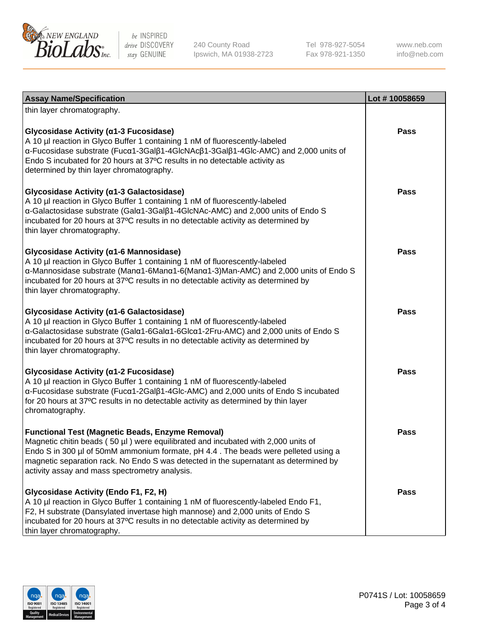

240 County Road Ipswich, MA 01938-2723 Tel 978-927-5054 Fax 978-921-1350

www.neb.com info@neb.com

| <b>Assay Name/Specification</b>                                                                                                                                                                                                                                                                                                                                              | Lot #10058659 |
|------------------------------------------------------------------------------------------------------------------------------------------------------------------------------------------------------------------------------------------------------------------------------------------------------------------------------------------------------------------------------|---------------|
| thin layer chromatography.                                                                                                                                                                                                                                                                                                                                                   |               |
| Glycosidase Activity (α1-3 Fucosidase)<br>A 10 µl reaction in Glyco Buffer 1 containing 1 nM of fluorescently-labeled<br>α-Fucosidase substrate (Fucα1-3Galβ1-4GlcNAcβ1-3Galβ1-4Glc-AMC) and 2,000 units of<br>Endo S incubated for 20 hours at 37°C results in no detectable activity as<br>determined by thin layer chromatography.                                        | <b>Pass</b>   |
| Glycosidase Activity (α1-3 Galactosidase)<br>A 10 µl reaction in Glyco Buffer 1 containing 1 nM of fluorescently-labeled<br>α-Galactosidase substrate (Galα1-3Galβ1-4GlcNAc-AMC) and 2,000 units of Endo S<br>incubated for 20 hours at 37°C results in no detectable activity as determined by<br>thin layer chromatography.                                                | <b>Pass</b>   |
| Glycosidase Activity (a1-6 Mannosidase)<br>A 10 µl reaction in Glyco Buffer 1 containing 1 nM of fluorescently-labeled<br>α-Mannosidase substrate (Μanα1-6Μanα1-6(Μanα1-3)Man-AMC) and 2,000 units of Endo S<br>incubated for 20 hours at 37°C results in no detectable activity as determined by<br>thin layer chromatography.                                              | Pass          |
| Glycosidase Activity (a1-6 Galactosidase)<br>A 10 µl reaction in Glyco Buffer 1 containing 1 nM of fluorescently-labeled<br>α-Galactosidase substrate (Galα1-6Galα1-6Glcα1-2Fru-AMC) and 2,000 units of Endo S<br>incubated for 20 hours at 37°C results in no detectable activity as determined by<br>thin layer chromatography.                                            | <b>Pass</b>   |
| Glycosidase Activity (α1-2 Fucosidase)<br>A 10 µl reaction in Glyco Buffer 1 containing 1 nM of fluorescently-labeled<br>α-Fucosidase substrate (Fucα1-2Galβ1-4Glc-AMC) and 2,000 units of Endo S incubated<br>for 20 hours at 37°C results in no detectable activity as determined by thin layer<br>chromatography.                                                         | <b>Pass</b>   |
| <b>Functional Test (Magnetic Beads, Enzyme Removal)</b><br>Magnetic chitin beads (50 µl) were equilibrated and incubated with 2,000 units of<br>Endo S in 300 µl of 50mM ammonium formate, pH 4.4. The beads were pelleted using a<br>magnetic separation rack. No Endo S was detected in the supernatant as determined by<br>activity assay and mass spectrometry analysis. | <b>Pass</b>   |
| Glycosidase Activity (Endo F1, F2, H)<br>A 10 µl reaction in Glyco Buffer 1 containing 1 nM of fluorescently-labeled Endo F1,<br>F2, H substrate (Dansylated invertase high mannose) and 2,000 units of Endo S<br>incubated for 20 hours at 37°C results in no detectable activity as determined by<br>thin layer chromatography.                                            | <b>Pass</b>   |